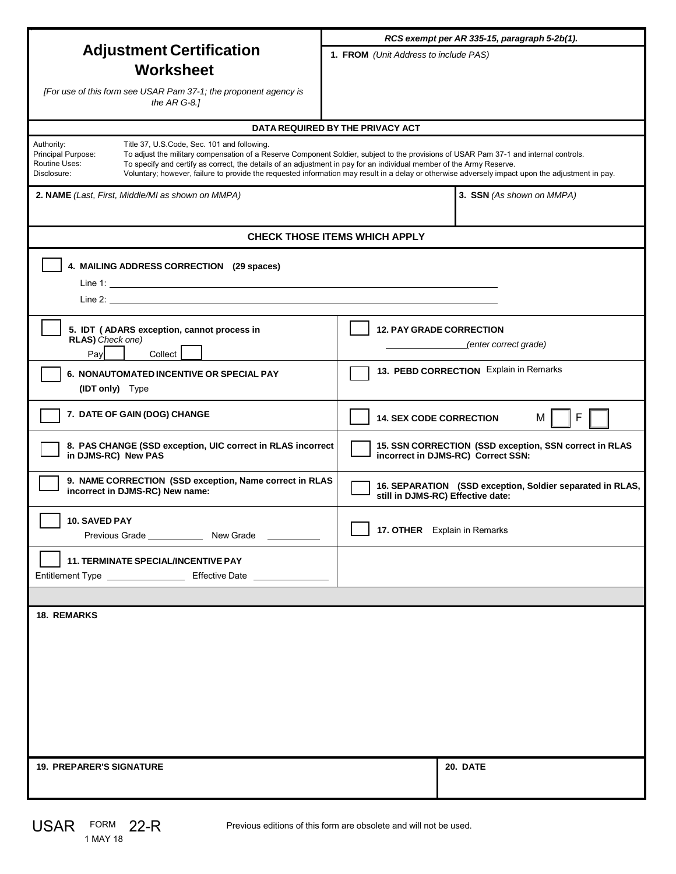|                                                                                                                                                                                                                                                                                                                                                                                                                                                                                                                                      | RCS exempt per AR 335-15, paragraph 5-2b(1).                                                   |
|--------------------------------------------------------------------------------------------------------------------------------------------------------------------------------------------------------------------------------------------------------------------------------------------------------------------------------------------------------------------------------------------------------------------------------------------------------------------------------------------------------------------------------------|------------------------------------------------------------------------------------------------|
| <b>Adjustment Certification</b>                                                                                                                                                                                                                                                                                                                                                                                                                                                                                                      | 1. FROM (Unit Address to include PAS)                                                          |
| <b>Worksheet</b>                                                                                                                                                                                                                                                                                                                                                                                                                                                                                                                     |                                                                                                |
| [For use of this form see USAR Pam 37-1; the proponent agency is<br>the $ARG-8$ .]                                                                                                                                                                                                                                                                                                                                                                                                                                                   |                                                                                                |
| DATA REQUIRED BY THE PRIVACY ACT                                                                                                                                                                                                                                                                                                                                                                                                                                                                                                     |                                                                                                |
| Authority:<br>Title 37, U.S.Code, Sec. 101 and following.<br>Principal Purpose:<br>To adjust the military compensation of a Reserve Component Soldier, subject to the provisions of USAR Pam 37-1 and internal controls.<br>Routine Uses:<br>To specify and certify as correct, the details of an adjustment in pay for an individual member of the Army Reserve.<br>Disclosure:<br>Voluntary; however, failure to provide the requested information may result in a delay or otherwise adversely impact upon the adjustment in pay. |                                                                                                |
| 2. NAME (Last, First, Middle/MI as shown on MMPA)                                                                                                                                                                                                                                                                                                                                                                                                                                                                                    | 3. SSN (As shown on MMPA)                                                                      |
| <b>CHECK THOSE ITEMS WHICH APPLY</b>                                                                                                                                                                                                                                                                                                                                                                                                                                                                                                 |                                                                                                |
| 4. MAILING ADDRESS CORRECTION (29 spaces)                                                                                                                                                                                                                                                                                                                                                                                                                                                                                            |                                                                                                |
| 5. IDT (ADARS exception, cannot process in<br>RLAS) Check one)<br>Collect<br>Pay                                                                                                                                                                                                                                                                                                                                                                                                                                                     | <b>12. PAY GRADE CORRECTION</b><br>(enter correct grade)                                       |
| 6. NONAUTOMATED INCENTIVE OR SPECIAL PAY<br>(IDT only) Type                                                                                                                                                                                                                                                                                                                                                                                                                                                                          | 13. PEBD CORRECTION Explain in Remarks                                                         |
| 7. DATE OF GAIN (DOG) CHANGE                                                                                                                                                                                                                                                                                                                                                                                                                                                                                                         | F<br><b>14. SEX CODE CORRECTION</b><br>М                                                       |
| 8. PAS CHANGE (SSD exception, UIC correct in RLAS incorrect<br>in DJMS-RC) New PAS                                                                                                                                                                                                                                                                                                                                                                                                                                                   | 15. SSN CORRECTION (SSD exception, SSN correct in RLAS<br>incorrect in DJMS-RC) Correct SSN:   |
| 9. NAME CORRECTION (SSD exception, Name correct in RLAS<br>incorrect in DJMS-RC) New name:                                                                                                                                                                                                                                                                                                                                                                                                                                           | 16. SEPARATION (SSD exception, Soldier separated in RLAS,<br>still in DJMS-RC) Effective date: |
| 10. SAVED PAY                                                                                                                                                                                                                                                                                                                                                                                                                                                                                                                        | 17. OTHER Explain in Remarks                                                                   |
| <b>11. TERMINATE SPECIAL/INCENTIVE PAY</b><br>Entitlement Type _________________________________ Effective Date ______________                                                                                                                                                                                                                                                                                                                                                                                                       |                                                                                                |
|                                                                                                                                                                                                                                                                                                                                                                                                                                                                                                                                      |                                                                                                |
| <b>18. REMARKS</b>                                                                                                                                                                                                                                                                                                                                                                                                                                                                                                                   |                                                                                                |
|                                                                                                                                                                                                                                                                                                                                                                                                                                                                                                                                      |                                                                                                |
|                                                                                                                                                                                                                                                                                                                                                                                                                                                                                                                                      |                                                                                                |
|                                                                                                                                                                                                                                                                                                                                                                                                                                                                                                                                      |                                                                                                |
|                                                                                                                                                                                                                                                                                                                                                                                                                                                                                                                                      |                                                                                                |
| <b>19. PREPARER'S SIGNATURE</b>                                                                                                                                                                                                                                                                                                                                                                                                                                                                                                      | 20. DATE                                                                                       |

Previous editions of this form are obsolete and will not be used.